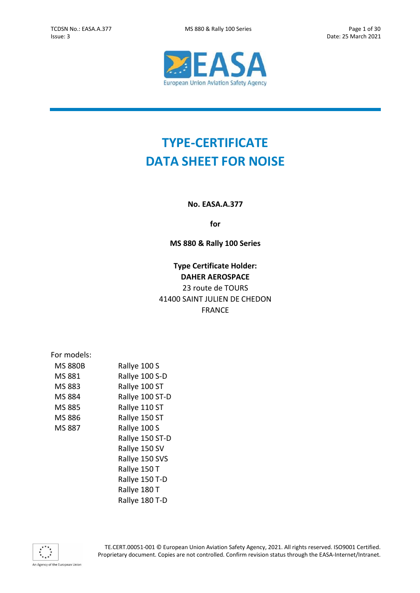

# **TYPE-CERTIFICATE DATA SHEET FOR NOISE**

**No. EASA.A.377**

**for**

**MS 880 & Rally 100 Series**

# **Type Certificate Holder: DAHER AEROSPACE** 23 route de TOURS 41400 SAINT JULIEN DE CHEDON FRANCE

| For models: |                 |
|-------------|-----------------|
| MS 880B     | Rallye 100 S    |
| MS 881      | Rallye 100 S-D  |
| MS 883      | Rallye 100 ST   |
| MS 884      | Rallye 100 ST-D |
| MS 885      | Rallye 110 ST   |
| MS 886      | Rallye 150 ST   |
| MS 887      | Rallye 100 S    |
|             | Rallye 150 ST-D |
|             | Rallye 150 SV   |
|             | Rallye 150 SVS  |
|             | Rallye 150 T    |
|             | Rallye 150 T-D  |
|             | Rallye 180 T    |
|             | Rallye 180 T-D  |
|             |                 |

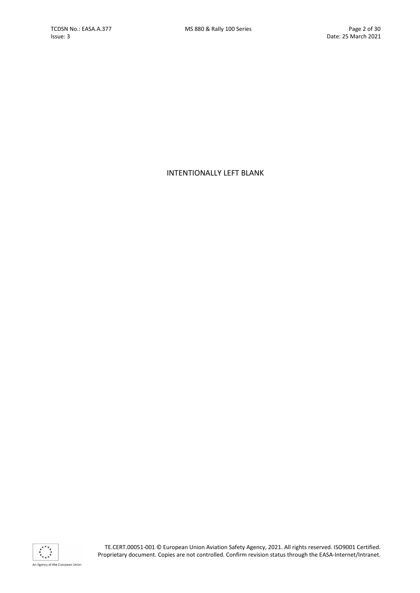## INTENTIONALLY LEFT BLANK

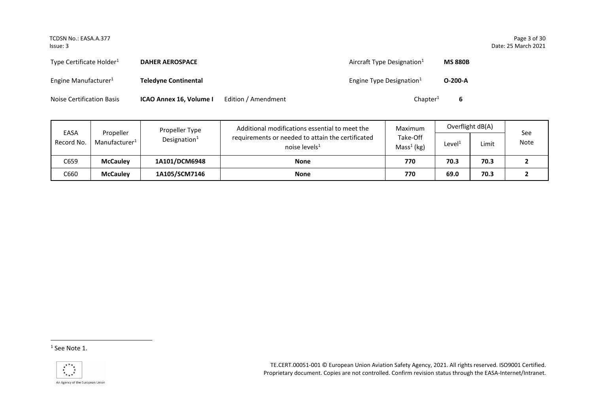| TCDSN No.: EASA.A.377<br>Issue: 3    |                             |                     |                                        |                | Page 3 of 30<br>Date: 25 March 2021 |
|--------------------------------------|-----------------------------|---------------------|----------------------------------------|----------------|-------------------------------------|
| Type Certificate Holder <sup>1</sup> | <b>DAHER AEROSPACE</b>      |                     | Aircraft Type Designation <sup>1</sup> | <b>MS 880B</b> |                                     |
| Engine Manufacturer <sup>1</sup>     | <b>Teledyne Continental</b> |                     | Engine Type Designation <sup>1</sup>   | O-200-A        |                                     |
| Noise Certification Basis            | ICAO Annex 16, Volume I     | Edition / Amendment | Chapter <sup>1</sup>                   | 6              |                                     |

| EASA<br>Propeller |                           | Propeller Type  | Additional modifications essential to meet the                                 | Maximum                            | Overflight dB(A)   |       | See  |
|-------------------|---------------------------|-----------------|--------------------------------------------------------------------------------|------------------------------------|--------------------|-------|------|
| Record No.        | Manufacturer <sup>1</sup> | Designation $1$ | requirements or needed to attain the certificated<br>noise levels <sup>1</sup> | Take-Off<br>Mass <sup>1</sup> (kg) | Level <sup>1</sup> | Limit | Note |
| C659              | <b>McCauley</b>           | 1A101/DCM6948   | <b>None</b>                                                                    | 770                                | 70.3               | 70.3  |      |
| C660              | <b>McCauley</b>           | 1A105/SCM7146   | <b>None</b>                                                                    | 770                                | 69.0               | 70.3  |      |

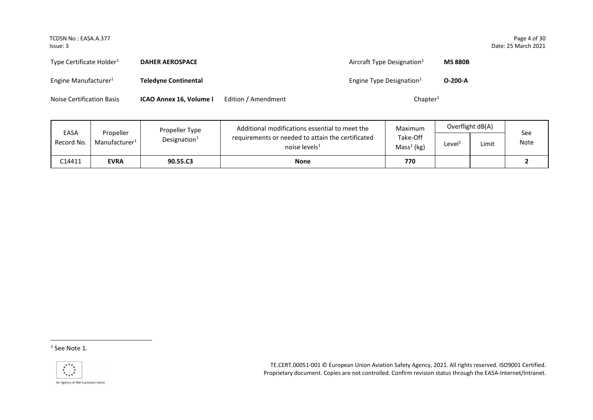| TCDSN No.: EASA.A.377<br>Issue: 3    |                             |                     |                                        |                | Page 4 of 30<br>Date: 25 March 2021 |
|--------------------------------------|-----------------------------|---------------------|----------------------------------------|----------------|-------------------------------------|
| Type Certificate Holder <sup>1</sup> | <b>DAHER AEROSPACE</b>      |                     | Aircraft Type Designation <sup>1</sup> | <b>MS 880B</b> |                                     |
| Engine Manufacturer <sup>1</sup>     | <b>Teledyne Continental</b> |                     | Engine Type Designation <sup>1</sup>   | O-200-A        |                                     |
| Noise Certification Basis            | ICAO Annex 16, Volume I     | Edition / Amendment | Chapter <sup>1</sup>                   |                |                                     |

| <b>EASA</b> | Propeller                 | Propeller Type  | Additional modifications essential to meet the                                 | Maximum                            | Overflight dB(A) |       | See  |
|-------------|---------------------------|-----------------|--------------------------------------------------------------------------------|------------------------------------|------------------|-------|------|
| Record No.  | Manufacturer <sup>1</sup> | Designation $1$ | requirements or needed to attain the certificated<br>noise levels <sup>1</sup> | Take-Off<br>Mass <sup>1</sup> (kg) | Level'           | Limit | Note |
| C14411      | <b>EVRA</b>               | 90.55.C3        | <b>None</b>                                                                    | 770                                |                  |       |      |

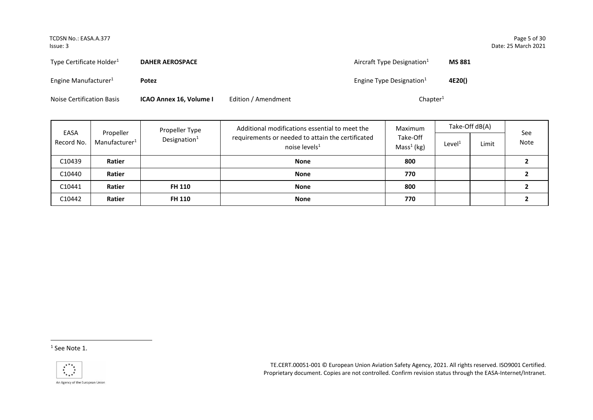| TCDSN No.: EASA.A.377<br>Issue: 3    |                                |                     |                                        |        | Page 5 of 30<br>Date: 25 March 2021 |
|--------------------------------------|--------------------------------|---------------------|----------------------------------------|--------|-------------------------------------|
| Type Certificate Holder <sup>1</sup> | <b>DAHER AEROSPACE</b>         |                     | Aircraft Type Designation <sup>1</sup> | MS 881 |                                     |
| Engine Manufacturer <sup>1</sup>     | Potez                          |                     | Engine Type Designation <sup>1</sup>   | 4E20() |                                     |
| Noise Certification Basis            | <b>ICAO Annex 16, Volume I</b> | Edition / Amendment | Chapter <sup>1</sup>                   |        |                                     |

| EASA<br>Propeller |                           | Propeller Type  | Additional modifications essential to meet the                                 | Maximum                            | Take-Off dB(A)     | See   |      |  |
|-------------------|---------------------------|-----------------|--------------------------------------------------------------------------------|------------------------------------|--------------------|-------|------|--|
| Record No.        | Manufacturer <sup>1</sup> | Designation $1$ | requirements or needed to attain the certificated<br>noise levels <sup>1</sup> | Take-Off<br>Mass <sup>1</sup> (kg) | Level <sup>1</sup> | Limit | Note |  |
| C10439            | Ratier                    |                 | <b>None</b>                                                                    | 800                                |                    |       |      |  |
| C10440            | Ratier                    |                 | <b>None</b>                                                                    | 770                                |                    |       |      |  |
| C10441            | Ratier                    | <b>FH 110</b>   | <b>None</b>                                                                    | 800                                |                    |       |      |  |
| C10442            | Ratier                    | <b>FH 110</b>   | <b>None</b>                                                                    | 770                                |                    |       |      |  |

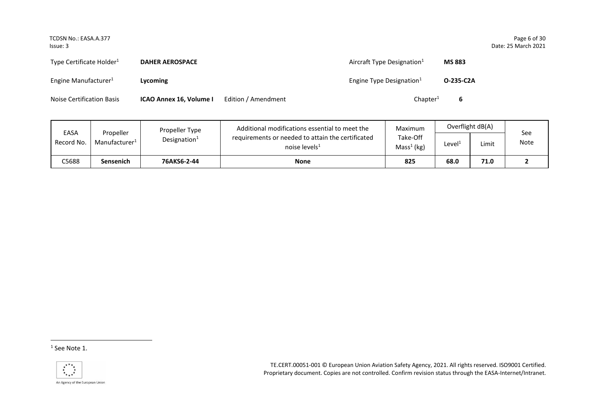| TCDSN No.: EASA.A.377<br>Issue: 3    |                                |                     |                                        |               | Page 6 of 30<br>Date: 25 March 2021 |
|--------------------------------------|--------------------------------|---------------------|----------------------------------------|---------------|-------------------------------------|
| Type Certificate Holder <sup>1</sup> | <b>DAHER AEROSPACE</b>         |                     | Aircraft Type Designation <sup>1</sup> | <b>MS 883</b> |                                     |
| Engine Manufacturer <sup>1</sup>     | Lycoming                       |                     | Engine Type Designation <sup>1</sup>   | O-235-C2A     |                                     |
| Noise Certification Basis            | <b>ICAO Annex 16, Volume I</b> | Edition / Amendment | Chapter <sup>1</sup>                   | 6             |                                     |

| EASA       | Propeller                 | Propeller Type  | Additional modifications essential to meet the                                 | Maximum                            | Overflight dB(A) |       |             |
|------------|---------------------------|-----------------|--------------------------------------------------------------------------------|------------------------------------|------------------|-------|-------------|
| Record No. | Manufacturer <sup>1</sup> | Designation $1$ | requirements or needed to attain the certificated<br>noise levels <sup>1</sup> | Take-Off<br>Mass <sup>1</sup> (kg) | Level            | Limit | See<br>Note |
| C5688      | Sensenich                 | 76AKS6-2-44     | <b>None</b>                                                                    | 825                                | 68.0             | 71.0  |             |

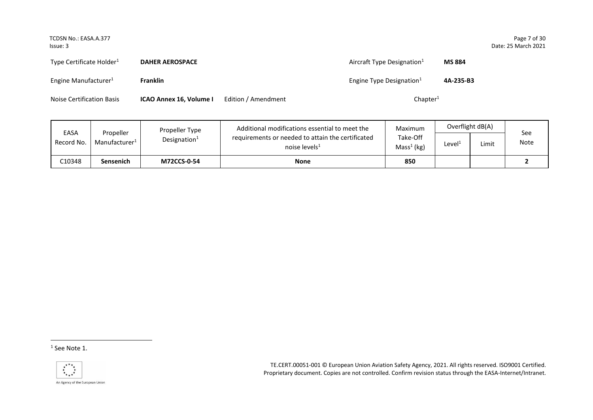| TCDSN No.: EASA.A.377<br>Issue: 3    |                                |                     |                                        |               | Page 7 of 30<br>Date: 25 March 2021 |
|--------------------------------------|--------------------------------|---------------------|----------------------------------------|---------------|-------------------------------------|
| Type Certificate Holder <sup>1</sup> | <b>DAHER AEROSPACE</b>         |                     | Aircraft Type Designation <sup>1</sup> | <b>MS 884</b> |                                     |
| Engine Manufacturer <sup>1</sup>     | <b>Franklin</b>                |                     | Engine Type Designation <sup>1</sup>   | 4A-235-B3     |                                     |
| Noise Certification Basis            | <b>ICAO Annex 16, Volume I</b> | Edition / Amendment | Chapter <sup>1</sup>                   |               |                                     |

| EASA       | Propeller                 | Propeller Type  | Additional modifications essential to meet the                                 | Maximum                            | Overflight dB(A) |       |             |
|------------|---------------------------|-----------------|--------------------------------------------------------------------------------|------------------------------------|------------------|-------|-------------|
| Record No. | Manufacturer <sup>1</sup> | Designation $1$ | requirements or needed to attain the certificated<br>noise levels <sup>1</sup> | Take-Off<br>Mass <sup>1</sup> (kg) | Level            | Limit | See<br>Note |
| C10348     | <b>Sensenich</b>          | M72CCS-0-54     | <b>None</b>                                                                    | 850                                |                  |       |             |

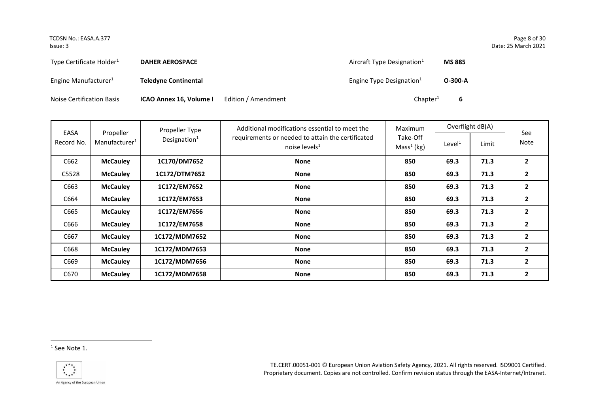| TCDSN No.: EASA.A.377<br>Issue: 3    |                             |                     |                                        |                      |               | Page 8 of 30<br>Date: 25 March 2021 |
|--------------------------------------|-----------------------------|---------------------|----------------------------------------|----------------------|---------------|-------------------------------------|
| Type Certificate Holder <sup>1</sup> | <b>DAHER AEROSPACE</b>      |                     | Aircraft Type Designation <sup>1</sup> |                      | <b>MS 885</b> |                                     |
| Engine Manufacturer <sup>1</sup>     | <b>Teledyne Continental</b> |                     | Engine Type Designation <sup>1</sup>   |                      | O-300-A       |                                     |
| Noise Certification Basis            | ICAO Annex 16, Volume I     | Edition / Amendment |                                        | Chapter <sup>1</sup> | 6             |                                     |

| EASA       |                                        | Propeller Type  | Additional modifications essential to meet the                                 | <b>Maximum</b>                     | Overflight dB(A)   |       | See            |
|------------|----------------------------------------|-----------------|--------------------------------------------------------------------------------|------------------------------------|--------------------|-------|----------------|
| Record No. | Propeller<br>Manufacturer <sup>1</sup> | Designation $1$ | requirements or needed to attain the certificated<br>noise levels <sup>1</sup> | Take-Off<br>Mass <sup>1</sup> (kg) | Level <sup>1</sup> | Limit | Note           |
| C662       | <b>McCauley</b>                        | 1C170/DM7652    | <b>None</b>                                                                    | 850                                | 69.3               | 71.3  | $\mathbf{2}$   |
| C5528      | <b>McCauley</b>                        | 1C172/DTM7652   | <b>None</b>                                                                    | 850                                | 69.3               | 71.3  | $\overline{2}$ |
| C663       | <b>McCauley</b>                        | 1C172/EM7652    | <b>None</b>                                                                    | 850                                | 69.3               | 71.3  | $\mathbf{2}$   |
| C664       | <b>McCauley</b>                        | 1C172/EM7653    | <b>None</b>                                                                    | 850                                | 69.3               | 71.3  | $\overline{2}$ |
| C665       | <b>McCauley</b>                        | 1C172/EM7656    | <b>None</b>                                                                    | 850                                | 69.3               | 71.3  | $\overline{2}$ |
| C666       | <b>McCauley</b>                        | 1C172/EM7658    | <b>None</b>                                                                    | 850                                | 69.3               | 71.3  | $\mathbf{2}$   |
| C667       | <b>McCauley</b>                        | 1C172/MDM7652   | <b>None</b>                                                                    | 850                                | 69.3               | 71.3  | $\mathbf{2}$   |
| C668       | <b>McCauley</b>                        | 1C172/MDM7653   | <b>None</b>                                                                    | 850                                | 69.3               | 71.3  | $\overline{2}$ |
| C669       | <b>McCauley</b>                        | 1C172/MDM7656   | <b>None</b>                                                                    | 850                                | 69.3               | 71.3  | $\overline{2}$ |
| C670       | <b>McCauley</b>                        | 1C172/MDM7658   | <b>None</b>                                                                    | 850                                | 69.3               | 71.3  | $\overline{2}$ |

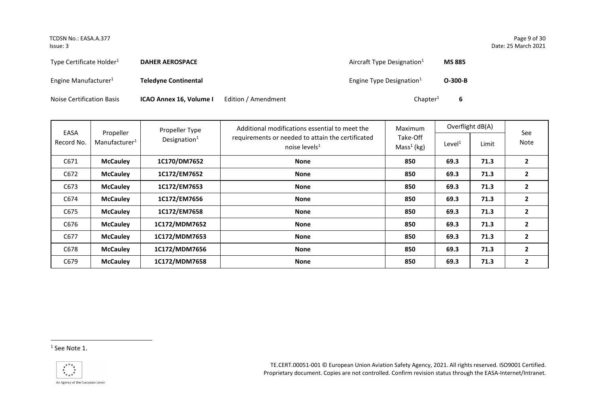| TCDSN No.: EASA.A.377<br>Issue: 3    |                             |                     |                                        |                      |               | Page 9 of 30<br>Date: 25 March 2021 |
|--------------------------------------|-----------------------------|---------------------|----------------------------------------|----------------------|---------------|-------------------------------------|
| Type Certificate Holder <sup>1</sup> | <b>DAHER AEROSPACE</b>      |                     | Aircraft Type Designation <sup>1</sup> |                      | <b>MS 885</b> |                                     |
| Engine Manufacturer <sup>1</sup>     | <b>Teledyne Continental</b> |                     | Engine Type Designation <sup>1</sup>   |                      | $O-300-B$     |                                     |
| Noise Certification Basis            | ICAO Annex 16, Volume I     | Edition / Amendment |                                        | Chapter <sup>1</sup> | 6             |                                     |

| EASA<br>Propeller |                           | Propeller Type  | Additional modifications essential to meet the                        | Maximum                            | Overflight dB(A)   |       | See            |
|-------------------|---------------------------|-----------------|-----------------------------------------------------------------------|------------------------------------|--------------------|-------|----------------|
| Record No.        | Manufacturer <sup>1</sup> | Designation $1$ | requirements or needed to attain the certificated<br>noise levels $1$ | Take-Off<br>Mass <sup>1</sup> (kg) | Level <sup>1</sup> | Limit | Note           |
| C671              | <b>McCauley</b>           | 1C170/DM7652    | <b>None</b>                                                           | 850                                | 69.3               | 71.3  | $\overline{2}$ |
| C672              | <b>McCauley</b>           | 1C172/EM7652    | <b>None</b>                                                           | 850                                | 69.3               | 71.3  | $\mathbf{2}$   |
| C673              | <b>McCauley</b>           | 1C172/EM7653    | <b>None</b>                                                           | 850                                | 69.3               | 71.3  | $\overline{2}$ |
| C674              | <b>McCauley</b>           | 1C172/EM7656    | <b>None</b>                                                           | 850                                | 69.3               | 71.3  | $\mathbf{2}$   |
| C675              | <b>McCauley</b>           | 1C172/EM7658    | <b>None</b>                                                           | 850                                | 69.3               | 71.3  | $\overline{2}$ |
| C676              | <b>McCauley</b>           | 1C172/MDM7652   | <b>None</b>                                                           | 850                                | 69.3               | 71.3  | $\overline{2}$ |
| C677              | <b>McCauley</b>           | 1C172/MDM7653   | <b>None</b>                                                           | 850                                | 69.3               | 71.3  | $\overline{2}$ |
| C678              | <b>McCauley</b>           | 1C172/MDM7656   | <b>None</b>                                                           | 850                                | 69.3               | 71.3  | $\overline{2}$ |
| C679              | <b>McCauley</b>           | 1C172/MDM7658   | <b>None</b>                                                           | 850                                | 69.3               | 71.3  | $\mathbf{2}$   |

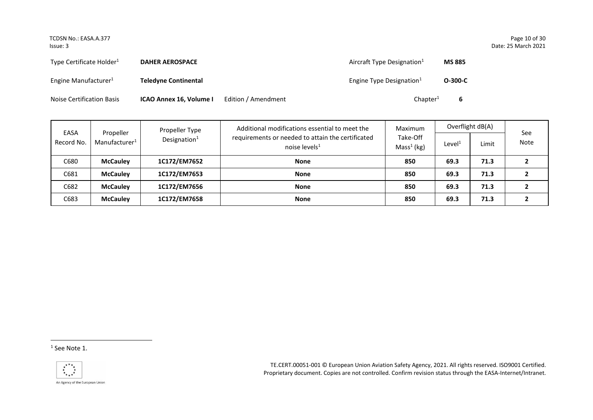| TCDSN No.: EASA.A.377<br>Issue: 3    |                             |                     |                                        |               | Page 10 of 30<br>Date: 25 March 2021 |
|--------------------------------------|-----------------------------|---------------------|----------------------------------------|---------------|--------------------------------------|
| Type Certificate Holder <sup>1</sup> | <b>DAHER AEROSPACE</b>      |                     | Aircraft Type Designation <sup>1</sup> | <b>MS 885</b> |                                      |
| Engine Manufacturer <sup>1</sup>     | <b>Teledyne Continental</b> |                     | Engine Type Designation <sup>1</sup>   | $O-300-C$     |                                      |
| Noise Certification Basis            | ICAO Annex 16, Volume I     | Edition / Amendment | Chapter <sup>1</sup>                   | 6             |                                      |

| EASA       | Propeller                 | Propeller Type  | Additional modifications essential to meet the                        | <b>Maximum</b>                     | Overflight dB(A)   |       | See  |  |
|------------|---------------------------|-----------------|-----------------------------------------------------------------------|------------------------------------|--------------------|-------|------|--|
| Record No. | Manufacturer <sup>1</sup> | Designation $1$ | requirements or needed to attain the certificated<br>noise levels $1$ | Take-Off<br>Mass <sup>1</sup> (kg) | Level <sup>1</sup> | Limit | Note |  |
| C680       | <b>McCauley</b>           | 1C172/EM7652    | <b>None</b>                                                           | 850                                | 69.3               | 71.3  |      |  |
| C681       | <b>McCauley</b>           | 1C172/EM7653    | <b>None</b>                                                           | 850                                | 69.3               | 71.3  |      |  |
| C682       | <b>McCauley</b>           | 1C172/EM7656    | <b>None</b>                                                           | 850                                | 69.3               | 71.3  |      |  |
| C683       | <b>McCauley</b>           | 1C172/EM7658    | <b>None</b>                                                           | 850                                | 69.3               | 71.3  |      |  |

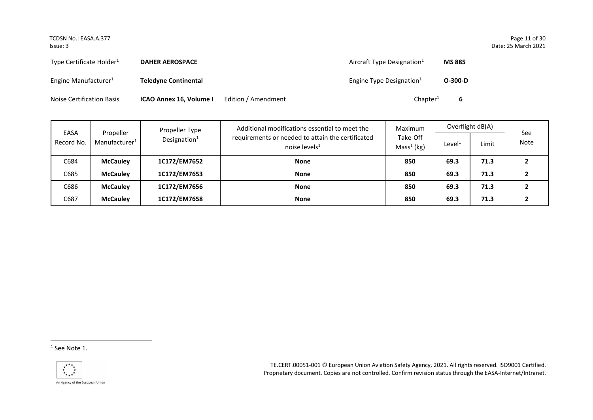| TCDSN No.: EASA.A.377<br>Issue: 3    |                         |                     |                                        |                      |               | Page 11 of 30<br>Date: 25 March 2021 |
|--------------------------------------|-------------------------|---------------------|----------------------------------------|----------------------|---------------|--------------------------------------|
| Type Certificate Holder <sup>1</sup> | <b>DAHER AEROSPACE</b>  |                     | Aircraft Type Designation <sup>1</sup> |                      | <b>MS 885</b> |                                      |
| Engine Manufacturer <sup>1</sup>     | Teledyne Continental    |                     | Engine Type Designation <sup>1</sup>   |                      | $O-300-D$     |                                      |
| <b>Noise Certification Basis</b>     | ICAO Annex 16, Volume I | Edition / Amendment |                                        | Chapter <sup>1</sup> | 6             |                                      |

| EASA       | Propeller<br>Manufacturer <sup>1</sup> | Propeller Type<br>Designation $1$ | Additional modifications essential to meet the                        | Maximum                            | Overflight dB(A)   |       | See  |
|------------|----------------------------------------|-----------------------------------|-----------------------------------------------------------------------|------------------------------------|--------------------|-------|------|
| Record No. |                                        |                                   | requirements or needed to attain the certificated<br>noise levels $1$ | Take-Off<br>Mass <sup>1</sup> (kg) | Level <sup>1</sup> | Limit | Note |
| C684       | <b>McCauley</b>                        | 1C172/EM7652                      | <b>None</b>                                                           | 850                                | 69.3               | 71.3  |      |
| C685       | <b>McCauley</b>                        | 1C172/EM7653                      | <b>None</b>                                                           | 850                                | 69.3               | 71.3  |      |
| C686       | <b>McCauley</b>                        | 1C172/EM7656                      | <b>None</b>                                                           | 850                                | 69.3               | 71.3  |      |
| C687       | <b>McCauley</b>                        | 1C172/EM7658                      | <b>None</b>                                                           | 850                                | 69.3               | 71.3  |      |

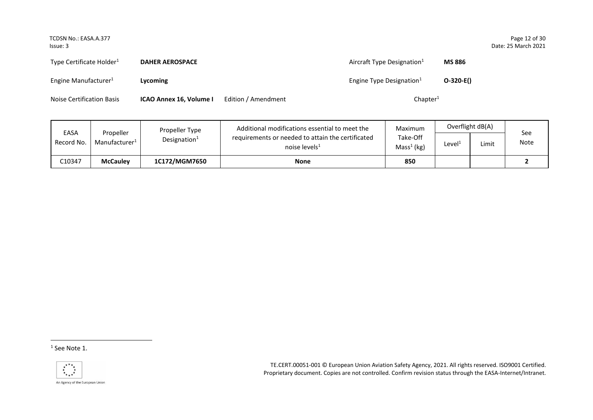| TCDSN No.: EASA.A.377<br>Issue: 3    |                                |                     |                                        |             | Page 12 of 30<br>Date: 25 March 2021 |
|--------------------------------------|--------------------------------|---------------------|----------------------------------------|-------------|--------------------------------------|
| Type Certificate Holder <sup>1</sup> | <b>DAHER AEROSPACE</b>         |                     | Aircraft Type Designation <sup>1</sup> | MS 886      |                                      |
| Engine Manufacturer <sup>1</sup>     | Lycoming                       |                     | Engine Type Designation <sup>1</sup>   | $O-320-E()$ |                                      |
| Noise Certification Basis            | <b>ICAO Annex 16, Volume I</b> | Edition / Amendment | Chapter <sup>1</sup>                   |             |                                      |

| EASA       | Propeller<br>Manufacturer <sup>1</sup> | Propeller Type<br>Designation $1$ | Additional modifications essential to meet the                                 | Maximum                            | Overflight dB(A) |       |             |
|------------|----------------------------------------|-----------------------------------|--------------------------------------------------------------------------------|------------------------------------|------------------|-------|-------------|
| Record No. |                                        |                                   | requirements or needed to attain the certificated<br>noise levels <sup>1</sup> | Take-Off<br>Mass <sup>1</sup> (kg) | Level            | Limit | See<br>Note |
| C10347     | <b>McCaulev</b>                        | 1C172/MGM7650                     | <b>None</b>                                                                    | 850                                |                  |       |             |

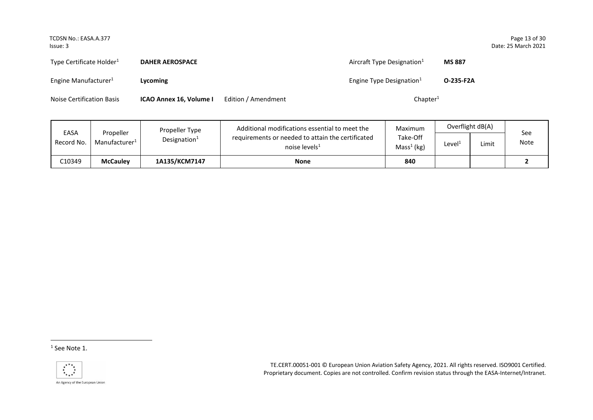| TCDSN No.: EASA.A.377<br>Issue: 3    |                         |                     |                                        |               | Page 13 of 30<br>Date: 25 March 2021 |
|--------------------------------------|-------------------------|---------------------|----------------------------------------|---------------|--------------------------------------|
| Type Certificate Holder <sup>1</sup> | <b>DAHER AEROSPACE</b>  |                     | Aircraft Type Designation <sup>1</sup> | <b>MS 887</b> |                                      |
| Engine Manufacturer <sup>1</sup>     | Lycoming                |                     | Engine Type Designation <sup>1</sup>   | O-235-F2A     |                                      |
| <b>Noise Certification Basis</b>     | ICAO Annex 16, Volume I | Edition / Amendment | Chapter <sup>1</sup>                   |               |                                      |

| EASA       | Propeller<br>Manufacturer <sup>1</sup> | Propeller Type<br>Designation $1$ | Additional modifications essential to meet the                                 | Maximum                            | Overflight dB(A) |       |             |
|------------|----------------------------------------|-----------------------------------|--------------------------------------------------------------------------------|------------------------------------|------------------|-------|-------------|
| Record No. |                                        |                                   | requirements or needed to attain the certificated<br>noise levels <sup>1</sup> | Take-Off<br>Mass <sup>1</sup> (kg) | Level            | Limit | See<br>Note |
| C10349     | <b>McCaulev</b>                        | 1A135/KCM7147                     | <b>None</b>                                                                    | 840                                |                  |       |             |

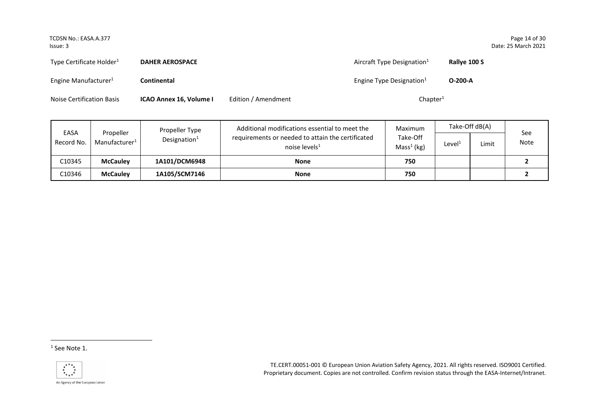| TCDSN No.: EASA.A.377<br>Issue: 3    |                         |                     |                                        |              | Page 14 of 30<br>Date: 25 March 2021 |
|--------------------------------------|-------------------------|---------------------|----------------------------------------|--------------|--------------------------------------|
| Type Certificate Holder <sup>1</sup> | <b>DAHER AEROSPACE</b>  |                     | Aircraft Type Designation <sup>1</sup> | Rallye 100 S |                                      |
| Engine Manufacturer <sup>1</sup>     | <b>Continental</b>      |                     | Engine Type Designation <sup>1</sup>   | O-200-A      |                                      |
| <b>Noise Certification Basis</b>     | ICAO Annex 16, Volume I | Edition / Amendment | Chapter <sup>1</sup>                   |              |                                      |

| EASA       |                                        | Propeller Type  | Additional modifications essential to meet the                        | Maximum                            |                    | Take-Off dB(A) | See  |
|------------|----------------------------------------|-----------------|-----------------------------------------------------------------------|------------------------------------|--------------------|----------------|------|
| Record No. | Propeller<br>Manufacturer <sup>1</sup> | Designation $1$ | requirements or needed to attain the certificated<br>noise levels $1$ | Take-Off<br>Mass <sup>1</sup> (kg) | Level <sup>1</sup> | Limit          | Note |
| C10345     | <b>McCauley</b>                        | 1A101/DCM6948   | <b>None</b>                                                           | 750                                |                    |                |      |
| C10346     | <b>McCauley</b>                        | 1A105/SCM7146   | <b>None</b>                                                           | 750                                |                    |                |      |

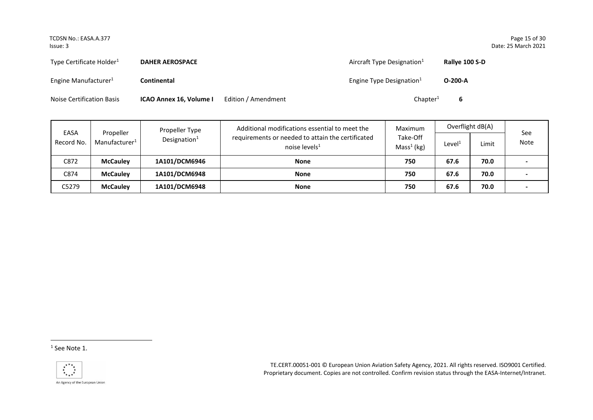| TCDSN No.: EASA.A.377<br>Issue: 3    |                         |                     |                                        |                | Page 15 of 30<br>Date: 25 March 2021 |
|--------------------------------------|-------------------------|---------------------|----------------------------------------|----------------|--------------------------------------|
| Type Certificate Holder <sup>1</sup> | <b>DAHER AEROSPACE</b>  |                     | Aircraft Type Designation <sup>1</sup> | Rallye 100 S-D |                                      |
| Engine Manufacturer <sup>1</sup>     | Continental             |                     | Engine Type Designation <sup>1</sup>   | O-200-A        |                                      |
| <b>Noise Certification Basis</b>     | ICAO Annex 16, Volume I | Edition / Amendment | Chapter <sup>1</sup>                   | 6              |                                      |

| EASA<br>Propeller<br>Manufacturer <sup>1</sup><br>Record No. |                 | Propeller Type                                                        | Additional modifications essential to meet the | Maximum            | Overflight dB(A) |      | See<br>Note |
|--------------------------------------------------------------|-----------------|-----------------------------------------------------------------------|------------------------------------------------|--------------------|------------------|------|-------------|
|                                                              | Designation $1$ | requirements or needed to attain the certificated<br>noise levels $1$ | Take-Off<br>Mass <sup>1</sup> (kg)             | Level <sup>1</sup> | Limit            |      |             |
| C872                                                         | <b>McCauley</b> | 1A101/DCM6946                                                         | <b>None</b>                                    | 750                | 67.6             | 70.0 |             |
| C874                                                         | <b>McCauley</b> | 1A101/DCM6948                                                         | <b>None</b>                                    | 750                | 67.6             | 70.0 |             |
| C5279                                                        | <b>McCauley</b> | 1A101/DCM6948                                                         | <b>None</b>                                    | 750                | 67.6             | 70.0 |             |

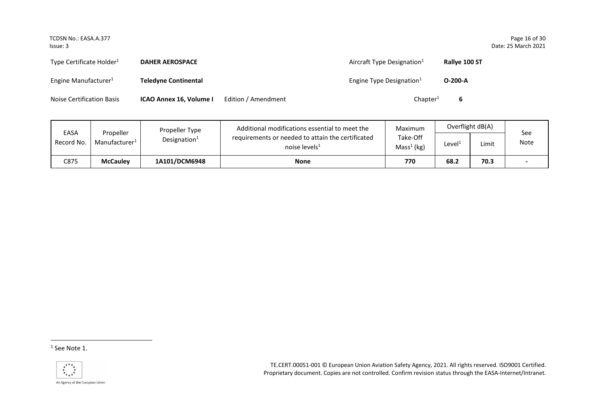| TCDSN No.: EASA.A.377<br>Issue: 3    |                             |                     |                                        |               | Page 16 of 30<br>Date: 25 March 2021 |
|--------------------------------------|-----------------------------|---------------------|----------------------------------------|---------------|--------------------------------------|
| Type Certificate Holder <sup>1</sup> | <b>DAHER AEROSPACE</b>      |                     | Aircraft Type Designation <sup>1</sup> | Rallye 100 ST |                                      |
| Engine Manufacturer <sup>1</sup>     | <b>Teledyne Continental</b> |                     | Engine Type Designation <sup>1</sup>   | O-200-A       |                                      |
| <b>Noise Certification Basis</b>     | ICAO Annex 16, Volume I     | Edition / Amendment | Chapter <sup>1</sup>                   | 6             |                                      |

|            |                                                | Propeller Type  | Additional modifications essential to meet the                                 | Maximum                            | Overflight dB(A) |       |                          |
|------------|------------------------------------------------|-----------------|--------------------------------------------------------------------------------|------------------------------------|------------------|-------|--------------------------|
| Record No. | Propeller<br>EASA<br>Manufacturer <sup>1</sup> | Designation $1$ | requirements or needed to attain the certificated<br>noise levels <sup>1</sup> | Take-Off<br>Mass <sup>1</sup> (kg) | Level            | Limit | See<br>Note              |
| C875       | <b>McCaulev</b>                                | 1A101/DCM6948   | <b>None</b>                                                                    | 770                                | 68.2             | 70.3  | $\overline{\phantom{0}}$ |

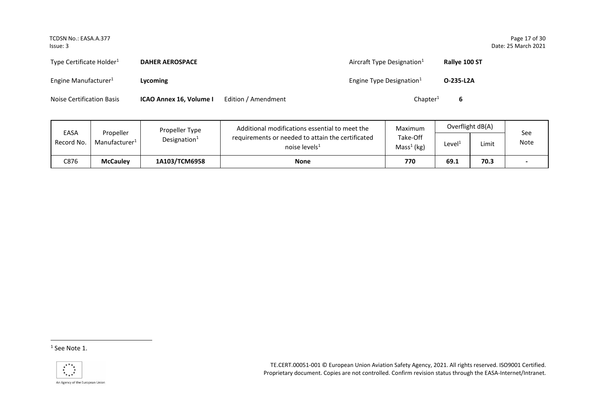| TCDSN No.: EASA.A.377<br>Issue: 3    |                                |                     |                                        |               | Page 17 of 30<br>Date: 25 March 2021 |
|--------------------------------------|--------------------------------|---------------------|----------------------------------------|---------------|--------------------------------------|
| Type Certificate Holder <sup>1</sup> | <b>DAHER AEROSPACE</b>         |                     | Aircraft Type Designation <sup>1</sup> | Rallye 100 ST |                                      |
| Engine Manufacturer <sup>1</sup>     | Lycoming                       |                     | Engine Type Designation <sup>1</sup>   | O-235-L2A     |                                      |
| Noise Certification Basis            | <b>ICAO Annex 16, Volume I</b> | Edition / Amendment | Chapter <sup>1</sup>                   | 6             |                                      |

|                    | Propeller                 | Propeller Type  | Additional modifications essential to meet the                                 | Maximum                  | Overflight dB(A) |       |             |
|--------------------|---------------------------|-----------------|--------------------------------------------------------------------------------|--------------------------|------------------|-------|-------------|
| EASA<br>Record No. | Manufacturer <sup>1</sup> | Designation $1$ | requirements or needed to attain the certificated<br>noise levels <sup>1</sup> | Take-Off<br>$Mass1$ (kg) | Level $^{\rm 1}$ | Limit | See<br>Note |
| C876               | <b>McCauley</b>           | 1A103/TCM6958   | <b>None</b>                                                                    | 770                      | 69.1             | 70.3  |             |

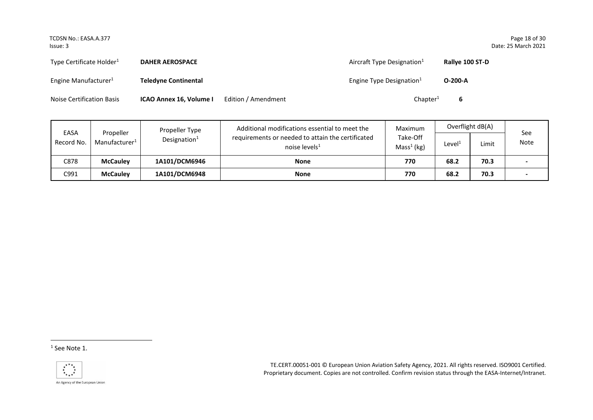| TCDSN No.: EASA.A.377<br>Issue: 3    |                             |                     |                                        | Page 18 of 30<br>Date: 25 March 2021 |
|--------------------------------------|-----------------------------|---------------------|----------------------------------------|--------------------------------------|
| Type Certificate Holder <sup>1</sup> | <b>DAHER AEROSPACE</b>      |                     | Aircraft Type Designation <sup>1</sup> | Rallye 100 ST-D                      |
| Engine Manufacturer <sup>1</sup>     | <b>Teledyne Continental</b> |                     | Engine Type Designation <sup>1</sup>   | O-200-A                              |
| <b>Noise Certification Basis</b>     | ICAO Annex 16, Volume I     | Edition / Amendment | Chapter <sup>1</sup>                   | 6                                    |

| <b>EASA</b> |                                        | Propeller Type  | Additional modifications essential to meet the                                 | Maximum                            | Overflight dB(A)   |       | See  |
|-------------|----------------------------------------|-----------------|--------------------------------------------------------------------------------|------------------------------------|--------------------|-------|------|
| Record No.  | Propeller<br>Manufacturer <sup>1</sup> | Designation $1$ | requirements or needed to attain the certificated<br>noise levels <sup>1</sup> | Take-Off<br>Mass <sup>1</sup> (kg) | Level <sup>1</sup> | Limit | Note |
| C878        | <b>McCaulev</b>                        | 1A101/DCM6946   | <b>None</b>                                                                    | 770                                | 68.2               | 70.3  |      |
| C991        | <b>McCaulev</b>                        | 1A101/DCM6948   | <b>None</b>                                                                    | 770                                | 68.2               | 70.3  |      |

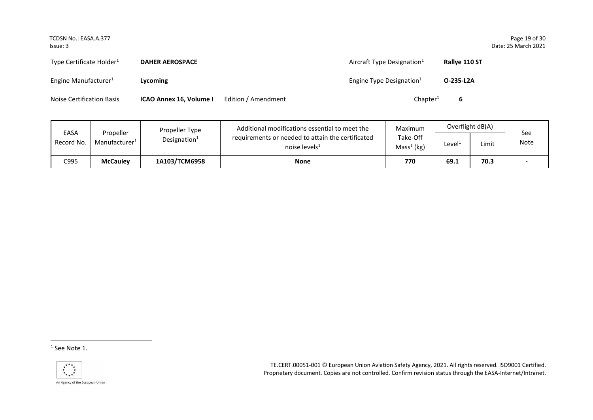| TCDSN No.: EASA.A.377<br>Issue: 3    |                         |                     |                                        |               | Page 19 of 30<br>Date: 25 March 2021 |
|--------------------------------------|-------------------------|---------------------|----------------------------------------|---------------|--------------------------------------|
| Type Certificate Holder <sup>1</sup> | <b>DAHER AEROSPACE</b>  |                     | Aircraft Type Designation <sup>1</sup> | Rallye 110 ST |                                      |
| Engine Manufacturer <sup>1</sup>     | Lycoming                |                     | Engine Type Designation <sup>1</sup>   | O-235-L2A     |                                      |
| Noise Certification Basis            | ICAO Annex 16, Volume I | Edition / Amendment | Chapter <sup>1</sup>                   | 6             |                                      |

| EASA       | Propeller                 | Propeller Type  | Additional modifications essential to meet the                                 | Maximum                  | Overflight dB(A) |       |                          |
|------------|---------------------------|-----------------|--------------------------------------------------------------------------------|--------------------------|------------------|-------|--------------------------|
| Record No. | Manufacturer <sup>1</sup> | Designation $1$ | requirements or needed to attain the certificated<br>noise levels <sup>1</sup> | Take-Off<br>$Mass1$ (kg) | Level            | Limit | See<br>Note              |
| C995       | <b>McCaulev</b>           | 1A103/TCM6958   | <b>None</b>                                                                    | 770                      | 69.1             | 70.3  | $\overline{\phantom{0}}$ |

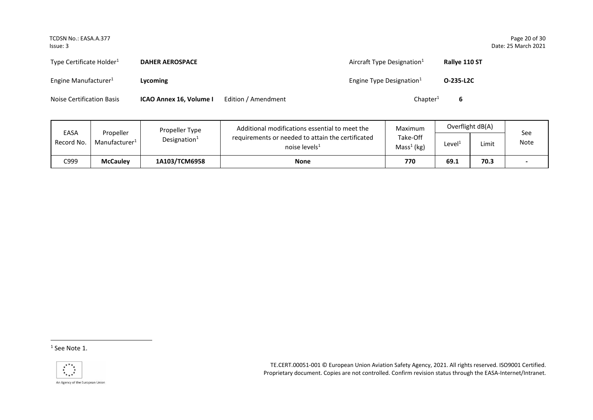| TCDSN No.: EASA.A.377<br>Issue: 3    |                                |                     |                                        |               | Page 20 of 30<br>Date: 25 March 2021 |
|--------------------------------------|--------------------------------|---------------------|----------------------------------------|---------------|--------------------------------------|
| Type Certificate Holder <sup>1</sup> | <b>DAHER AEROSPACE</b>         |                     | Aircraft Type Designation <sup>1</sup> | Rallye 110 ST |                                      |
| Engine Manufacturer <sup>1</sup>     | Lycoming                       |                     | Engine Type Designation <sup>1</sup>   | O-235-L2C     |                                      |
| Noise Certification Basis            | <b>ICAO Annex 16, Volume I</b> | Edition / Amendment | Chapter <sup>1</sup>                   | 6             |                                      |

| EASA<br>Record No. |                                        | Propeller Type<br>Designation $1$ | Additional modifications essential to meet the                                 | Maximum                            |                  | Overflight dB(A) | See<br>Note |
|--------------------|----------------------------------------|-----------------------------------|--------------------------------------------------------------------------------|------------------------------------|------------------|------------------|-------------|
|                    | Propeller<br>Manufacturer <sup>1</sup> |                                   | requirements or needed to attain the certificated<br>noise levels <sup>1</sup> | Take-Off<br>Mass <sup>1</sup> (kg) | Level $^{\rm 1}$ | Limit            |             |
| C999               | <b>McCauley</b>                        | 1A103/TCM6958                     | <b>None</b>                                                                    | 770                                | 69.1             | 70.3             |             |

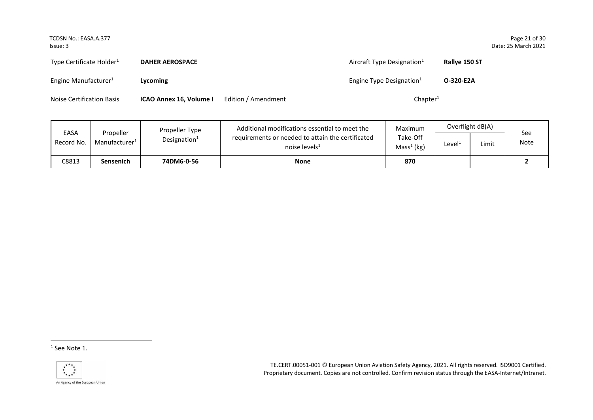| TCDSN No.: EASA.A.377<br>Issue: 3    |                         |                     |                                        |                      |               | Page 21 of 30<br>Date: 25 March 2021 |
|--------------------------------------|-------------------------|---------------------|----------------------------------------|----------------------|---------------|--------------------------------------|
| Type Certificate Holder <sup>1</sup> | <b>DAHER AEROSPACE</b>  |                     | Aircraft Type Designation <sup>1</sup> |                      | Rallye 150 ST |                                      |
| Engine Manufacturer <sup>1</sup>     | Lycoming                |                     | Engine Type Designation <sup>1</sup>   |                      | O-320-E2A     |                                      |
| Noise Certification Basis            | ICAO Annex 16, Volume I | Edition / Amendment |                                        | Chapter <sup>1</sup> |               |                                      |

| EASA<br>Record No. |                                        | Propeller Type<br>Designation $1$ | Additional modifications essential to meet the                                 | Maximum                                                | Overflight dB(A) | See<br>Note |
|--------------------|----------------------------------------|-----------------------------------|--------------------------------------------------------------------------------|--------------------------------------------------------|------------------|-------------|
|                    | Propeller<br>Manufacturer <sup>1</sup> |                                   | requirements or needed to attain the certificated<br>noise levels <sup>1</sup> | Take-Off<br>Level $^{\rm 1}$<br>Mass <sup>1</sup> (kg) | .imit            |             |
| C8813              | <b>Sensenich</b>                       | 74DM6-0-56                        | None                                                                           | 870                                                    |                  |             |

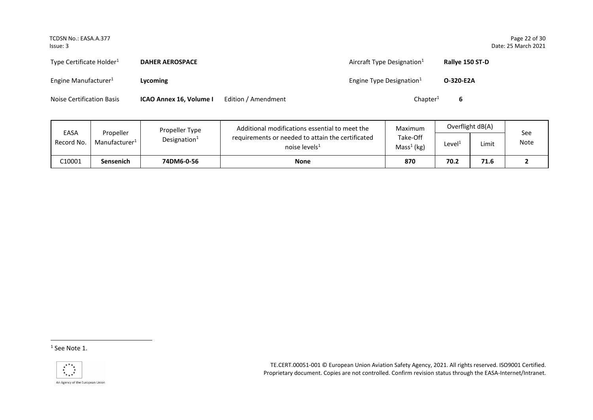| TCDSN No.: EASA.A.377<br>Issue: 3    |                         |                     |                                        | Page 22 of 30<br>Date: 25 March 2021 |
|--------------------------------------|-------------------------|---------------------|----------------------------------------|--------------------------------------|
| Type Certificate Holder <sup>1</sup> | <b>DAHER AEROSPACE</b>  |                     | Aircraft Type Designation <sup>1</sup> | Rallye 150 ST-D                      |
| Engine Manufacturer <sup>1</sup>     | Lycoming                |                     | Engine Type Designation <sup>1</sup>   | O-320-E2A                            |
| Noise Certification Basis            | ICAO Annex 16, Volume I | Edition / Amendment | Chapter $1$                            | 6                                    |

| EASA<br>Record No. |                                        | Propeller Type<br>Designation $1$ | Additional modifications essential to meet the                                 | Maximum                  |       | Overflight dB(A) | See<br>Note |
|--------------------|----------------------------------------|-----------------------------------|--------------------------------------------------------------------------------|--------------------------|-------|------------------|-------------|
|                    | Propeller<br>Manufacturer <sup>1</sup> |                                   | requirements or needed to attain the certificated<br>noise levels <sup>1</sup> | Take-Off<br>$Mass1$ (kg) | Level | Limit            |             |
| C10001             | <b>Sensenich</b>                       | 74DM6-0-56                        | <b>None</b>                                                                    | 870                      | 70.2  | 71.6             |             |

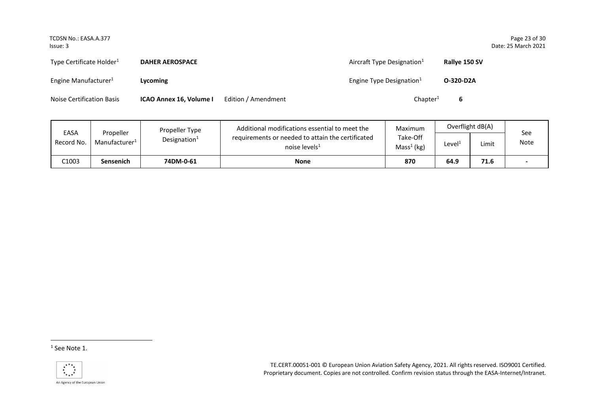| TCDSN No.: EASA.A.377<br>Issue: 3    |                                |                     |                                        |               | Page 23 of 30<br>Date: 25 March 2021 |
|--------------------------------------|--------------------------------|---------------------|----------------------------------------|---------------|--------------------------------------|
| Type Certificate Holder <sup>1</sup> | <b>DAHER AEROSPACE</b>         |                     | Aircraft Type Designation <sup>1</sup> | Rallye 150 SV |                                      |
| Engine Manufacturer <sup>1</sup>     | Lycoming                       |                     | Engine Type Designation <sup>1</sup>   | O-320-D2A     |                                      |
| Noise Certification Basis            | <b>ICAO Annex 16, Volume I</b> | Edition / Amendment | Chapter <sup>1</sup>                   | 6             |                                      |

|            |                                                                   | Propeller Type                                                                 | Additional modifications essential to meet the | Maximum            |       | Overflight dB(A) |  |
|------------|-------------------------------------------------------------------|--------------------------------------------------------------------------------|------------------------------------------------|--------------------|-------|------------------|--|
| Record No. | EASA<br>Propeller<br>Designation $1$<br>Manufacturer <sup>1</sup> | requirements or needed to attain the certificated<br>noise levels <sup>1</sup> | Take-Off<br>Mass <sup>1</sup> (kg)             | Level <sup>1</sup> | Limit | See<br>Note      |  |
| C1003      | <b>Sensenich</b>                                                  | 74DM-0-61                                                                      | <b>None</b>                                    | 870                | 64.9  | 71.6             |  |

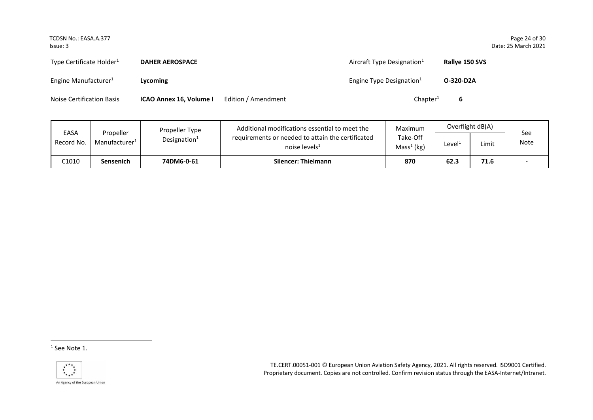| TCDSN No.: EASA.A.377<br>Issue: 3    |                         |                     |                                        |                | Page 24 of 30<br>Date: 25 March 2021 |
|--------------------------------------|-------------------------|---------------------|----------------------------------------|----------------|--------------------------------------|
| Type Certificate Holder <sup>1</sup> | <b>DAHER AEROSPACE</b>  |                     | Aircraft Type Designation <sup>1</sup> | Rallye 150 SVS |                                      |
| Engine Manufacturer <sup>1</sup>     | Lycoming                |                     | Engine Type Designation <sup>1</sup>   | O-320-D2A      |                                      |
| Noise Certification Basis            | ICAO Annex 16, Volume I | Edition / Amendment | Chapter <sup>1</sup>                   | 6              |                                      |

|                   |                                                                   | Propeller Type                                                                 | Additional modifications essential to meet the | Maximum            |       | Overflight dB(A) |  |
|-------------------|-------------------------------------------------------------------|--------------------------------------------------------------------------------|------------------------------------------------|--------------------|-------|------------------|--|
| Record No.        | EASA<br>Propeller<br>Designation $1$<br>Manufacturer <sup>1</sup> | requirements or needed to attain the certificated<br>noise levels <sup>1</sup> | Take-Off<br>Mass <sup>1</sup> (kg)             | Level <sup>1</sup> | Limit | See<br>Note      |  |
| C <sub>1010</sub> | <b>Sensenich</b>                                                  | 74DM6-0-61                                                                     | <b>Silencer: Thielmann</b>                     | 870                | 62.3  | 71.6             |  |

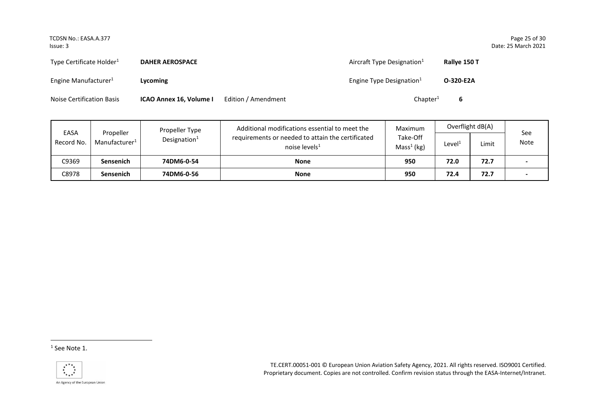| TCDSN No.: EASA.A.377<br>Issue: 3    |                         |                     |                                        |              | Page 25 of 30<br>Date: 25 March 2021 |
|--------------------------------------|-------------------------|---------------------|----------------------------------------|--------------|--------------------------------------|
| Type Certificate Holder <sup>1</sup> | <b>DAHER AEROSPACE</b>  |                     | Aircraft Type Designation <sup>1</sup> | Rallye 150 T |                                      |
| Engine Manufacturer <sup>1</sup>     | Lycoming                |                     | Engine Type Designation <sup>1</sup>   | O-320-E2A    |                                      |
| <b>Noise Certification Basis</b>     | ICAO Annex 16, Volume I | Edition / Amendment | Chapter <sup>1</sup>                   | 6            |                                      |

| EASA       |                                        | Propeller Type  | Additional modifications essential to meet the                                 | Maximum                            |                  | Overflight dB(A) | See<br>Note |
|------------|----------------------------------------|-----------------|--------------------------------------------------------------------------------|------------------------------------|------------------|------------------|-------------|
| Record No. | Propeller<br>Manufacturer <sup>1</sup> | Designation $1$ | requirements or needed to attain the certificated<br>noise levels <sup>1</sup> | Take-Off<br>Mass <sup>1</sup> (kg) | Level $^{\rm 1}$ | Limit            |             |
| C9369      | <b>Sensenich</b>                       | 74DM6-0-54      | <b>None</b>                                                                    | 950                                | 72.0             | 72.7             |             |
| C8978      | <b>Sensenich</b>                       | 74DM6-0-56      | <b>None</b>                                                                    | 950                                | 72.4             | 72.7             |             |

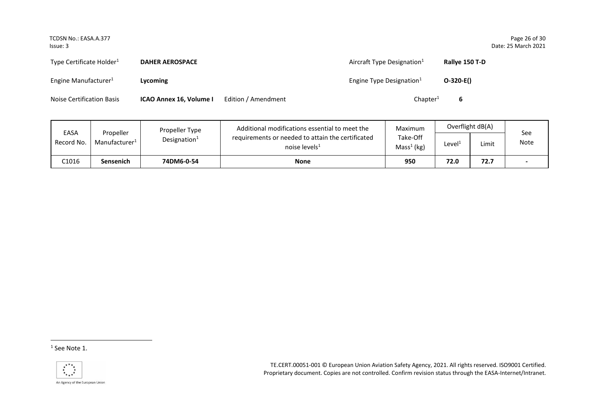| TCDSN No.: EASA.A.377<br>Issue: 3    |                         |                     |                                        |                | Page 26 of 30<br>Date: 25 March 2021 |
|--------------------------------------|-------------------------|---------------------|----------------------------------------|----------------|--------------------------------------|
| Type Certificate Holder <sup>1</sup> | <b>DAHER AEROSPACE</b>  |                     | Aircraft Type Designation <sup>1</sup> | Rallye 150 T-D |                                      |
| Engine Manufacturer <sup>1</sup>     | Lycoming                |                     | Engine Type Designation <sup>1</sup>   | $O-320-E()$    |                                      |
| Noise Certification Basis            | ICAO Annex 16, Volume I | Edition / Amendment | Chapter <sup>1</sup>                   | 6              |                                      |

| EASA              |                                                                                                                                             | Propeller Type                     | Additional modifications essential to meet the | Maximum | Overflight dB(A) |      |  |
|-------------------|---------------------------------------------------------------------------------------------------------------------------------------------|------------------------------------|------------------------------------------------|---------|------------------|------|--|
| Record No.        | Propeller<br>requirements or needed to attain the certificated<br>Designation $1$<br>Manufacturer <sup>1</sup><br>noise levels <sup>1</sup> | Take-Off<br>Mass <sup>1</sup> (kg) | Level <sup>1</sup>                             | Limit   | See<br>Note      |      |  |
| C <sub>1016</sub> | Sensenich                                                                                                                                   | 74DM6-0-54                         | <b>None</b>                                    | 950     | 72.0             | 72.7 |  |

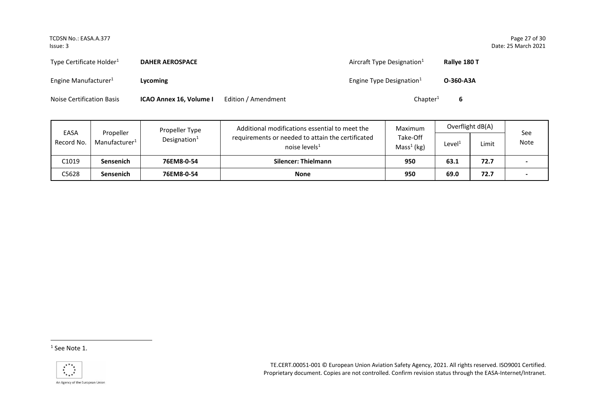| TCDSN No.: EASA.A.377<br>Issue: 3    |                         |                     |                                        |              | Page 27 of 30<br>Date: 25 March 2021 |
|--------------------------------------|-------------------------|---------------------|----------------------------------------|--------------|--------------------------------------|
| Type Certificate Holder <sup>1</sup> | <b>DAHER AEROSPACE</b>  |                     | Aircraft Type Designation <sup>1</sup> | Rallye 180 T |                                      |
| Engine Manufacturer <sup>1</sup>     | Lycoming                |                     | Engine Type Designation <sup>1</sup>   | O-360-A3A    |                                      |
| <b>Noise Certification Basis</b>     | ICAO Annex 16, Volume I | Edition / Amendment | Chapter <sup>1</sup>                   | 6            |                                      |

| EASA       |                           | Additional modifications essential to meet the<br>Propeller Type<br>Propeller |                                                                       | Maximum                            | Overflight dB(A)   |       | See                      |
|------------|---------------------------|-------------------------------------------------------------------------------|-----------------------------------------------------------------------|------------------------------------|--------------------|-------|--------------------------|
| Record No. | Manufacturer <sup>1</sup> | Designation $1$                                                               | requirements or needed to attain the certificated<br>noise levels $1$ | Take-Off<br>Mass <sup>1</sup> (kg) | Level <sup>1</sup> | Limit | Note                     |
| C1019      | <b>Sensenich</b>          | 76EM8-0-54                                                                    | Silencer: Thielmann                                                   | 950                                | 63.1               | 72.7  | $\overline{\phantom{0}}$ |
| C5628      | <b>Sensenich</b>          | 76EM8-0-54                                                                    | <b>None</b>                                                           | 950                                | 69.0               | 72.7  | $\overline{\phantom{0}}$ |

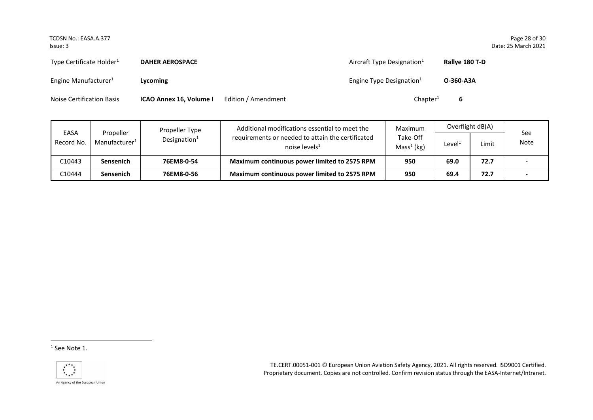| TCDSN No.: EASA.A.377<br>Issue: 3    |                                |                     |                                        | Page 28 of 30<br>Date: 25 March 2021 |  |
|--------------------------------------|--------------------------------|---------------------|----------------------------------------|--------------------------------------|--|
| Type Certificate Holder <sup>1</sup> | <b>DAHER AEROSPACE</b>         |                     | Aircraft Type Designation <sup>1</sup> | Rallye 180 T-D                       |  |
| Engine Manufacturer <sup>1</sup>     | Lycoming                       |                     | Engine Type Designation <sup>1</sup>   | O-360-A3A                            |  |
| Noise Certification Basis            | <b>ICAO Annex 16, Volume I</b> | Edition / Amendment | Chapter <sup>1</sup>                   | 6                                    |  |

| EASA<br>Propeller |                           | Propeller Type                                                                                    | Additional modifications essential to meet the | Maximum          | Overflight dB(A) |             |  |
|-------------------|---------------------------|---------------------------------------------------------------------------------------------------|------------------------------------------------|------------------|------------------|-------------|--|
| Record No.        | Manufacturer <sup>1</sup> | requirements or needed to attain the certificated<br>Designation $1$<br>noise levels <sup>1</sup> | Take-Off<br>Mass <sup>1</sup> (kg)             | Level $^{\rm 1}$ | Limit            | See<br>Note |  |
| C10443            | <b>Sensenich</b>          | 76EM8-0-54                                                                                        | Maximum continuous power limited to 2575 RPM   | 950              | 69.0             | 72.7        |  |
| C10444            | <b>Sensenich</b>          | 76EM8-0-56                                                                                        | Maximum continuous power limited to 2575 RPM   | 950              | 69.4             | 72.7        |  |

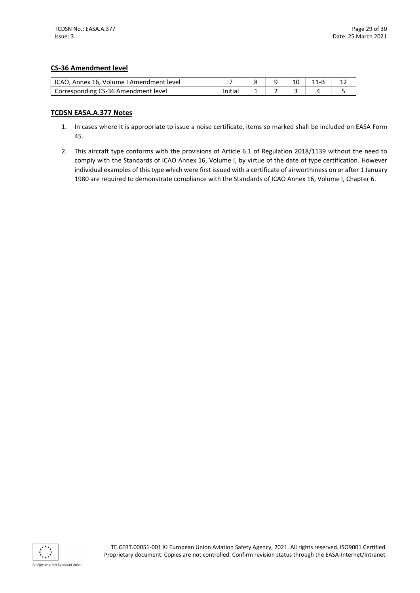#### **CS-36 Amendment level**

| ICAO, Annex 16, Volume I Amendment level |  |  |  |  |
|------------------------------------------|--|--|--|--|
| Corresponding CS-36 Amendment level      |  |  |  |  |

#### **TCDSN EASA.A.377 Notes**

- 1. In cases where it is appropriate to issue a noise certificate, items so marked shall be included on EASA Form 45.
- 2. This aircraft type conforms with the provisions of Article 6.1 of Regulation 2018/1139 without the need to comply with the Standards of ICAO Annex 16, Volume I, by virtue of the date of type certification. However individual examples of this type which were first issued with a certificate of airworthiness on or after 1 January 1980 are required to demonstrate compliance with the Standards of ICAO Annex 16, Volume I, Chapter 6.